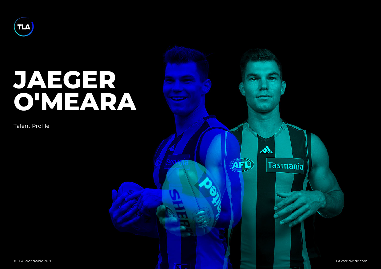## JAEGER O'MEARA

Talent Profile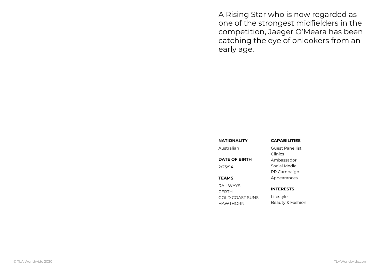A Rising Star who is now rega one of the strongest midfielde competition, Jaeger O Meara h catching the eye of onlookers early age.

| NATIONALITY             | CAPABILITIES     |
|-------------------------|------------------|
| Australian              | Guest Panellist  |
|                         | Clinics          |
| DATE OF BIRTH           | Ambassador       |
| 2/23/94                 | Social Media     |
|                         | PR Campaign      |
| <b>TEAMS</b>            | Appearances      |
| RAILWAYS<br>PERTH       | INTERESTS        |
| GOLD COAST SUNSifestyle |                  |
| H A W T H O R N         | Beauty & Fashion |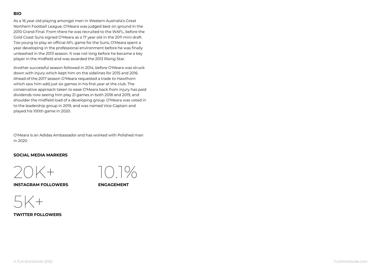As a 16 year old playing amongst men in Western Australia s Great Northern Football League, O Meara was judged best on ground in the 2010 Grand Final. From there he was recruited to the WAFL, before the Gold Coast Suns signed O Meara as a 17 year old in the 2011 mini draft. Too young to play an official AFL game for the Suns, O Meara spent a year developing in the professional environment before he was finally unleashed in the 2013 season. It was not long before he became a key player in the midfield and was awarded the 2013 Rising Star.

Another successful season followed in 2014, before O Meara was struck down with injury which kept him on the sidelines for 2015 and 2016. Ahead of the 2017 season O Meara requested a trade to Hawthorn which saw him add just six games in his first year at the club. The conservative approach taken to ease O Meara back from injury has paid dividends now seeing him play 21 games in both 2018 and 2019, and shoulder the midfield load of a developing group. O Meara was voted in to the leadership group in 2019, and was named Vice-Captain and played his 100th game in 2020.

O Meara is an Adidas Ambassador and has worked with Polished man in 2020

SOCIAL MEDIA MARKERS



 $5K+$ TWITTER FOLLOWERS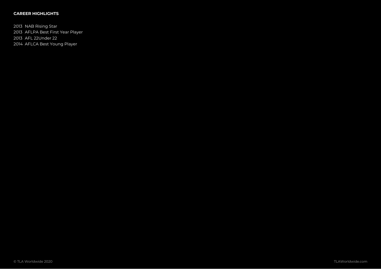## CAREER HIGHLIGHTS

2013NAB Rising Star 2013AFLPA Best First Year Player 2013AFL 22Under 22 2014AFLCA Best Young Player